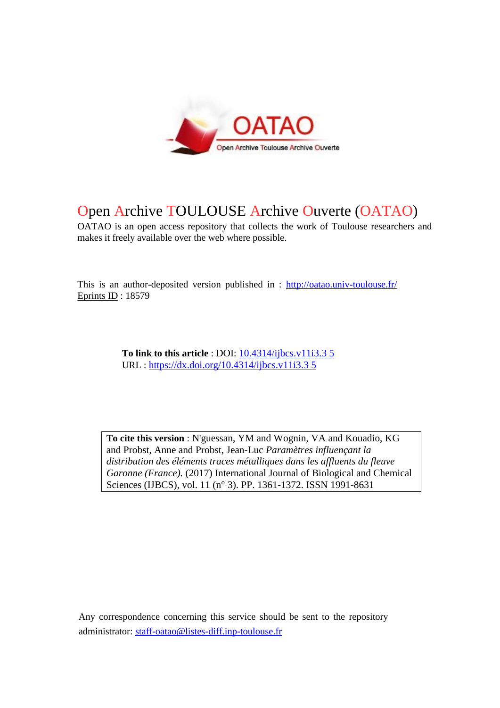

# Open Archive TOULOUSE Archive Ouverte (OATAO)

OATAO is an open access repository that collects the work of Toulouse researchers and makes it freely available over the web where possible.

This is an author-deposited version published in : http://oatao.univ-toulouse.fr/ Eprints ID : 18579

> **To link to this article** : DOI: [10.4314/ijbcs.v11i3.3 5](https://dx.doi.org/10.4314/ijbcs.v11i3.3%205) URL : [https://dx.doi.org/10.4314/ijbcs.v11i3.3 5](https://dx.doi.org/10.4314/ijbcs.v11i3.3%205)

**To cite this version** : N'guessan, YM and Wognin, VA and Kouadio, KG and Probst, Anne and Probst, Jean-Luc *Paramètres influençant la distribution des éléments traces métalliques dans les affluents du fleuve Garonne (France).* (2017) International Journal of Biological and Chemical Sciences (IJBCS), vol. 11 (n° 3). PP. 1361-1372. ISSN 1991-8631

Any correspondence concerning this service should be sent to the repository administrator: [staff-oatao@listes-diff.inp-toulouse.fr](mailto:staff-oatao@listes-diff.inp-toulouse.fr)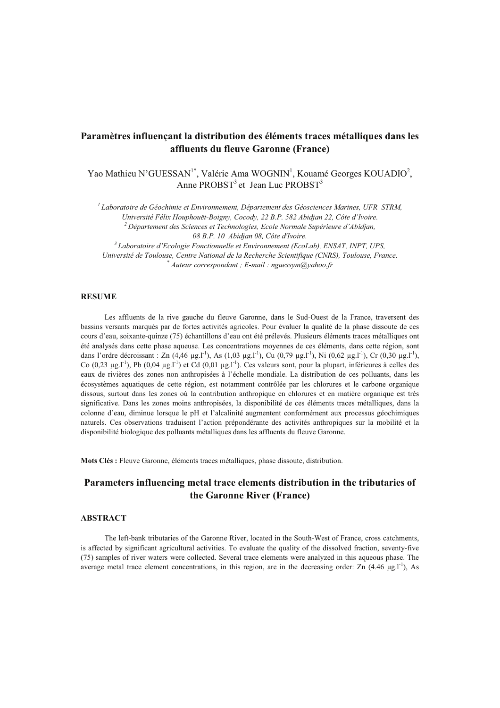# Paramètres influencant la distribution des éléments traces métalliques dans les affluents du fleuve Garonne (France)

Yao Mathieu N'GUESSAN<sup>1\*</sup>, Valérie Ama WOGNIN<sup>1</sup>, Kouamé Georges KOUADIO<sup>2</sup>, Anne PROBST<sup>3</sup> et Jean Luc PROBST<sup>3</sup>

 ${}^{1}$ Laboratoire de Géochimie et Environnement, Département des Géosciences Marines, UFR STRM,

Université Félix Houphouët-Boigny, Cocody, 22 B.P. 582 Abidjan 22, Côte d'Ivoire. <sup>2</sup> Département des Sciences et Technologies. Ecole Normale Supérieure d'Abidian. 08 B.P. 10 Abidian 08. Côte d'Ivoire.

<sup>3</sup> Laboratoire d'Ecologie Fonctionnelle et Environnement (EcoLab), ENSAT, INPT, UPS,

Université de Toulouse, Centre National de la Recherche Scientifique (CNRS), Toulouse, France.  $^*$ Auteur correspondant : E-mail : nguessym@vahoo.fr

#### **RESUME**

Les affluents de la rive gauche du fleuve Garonne, dans le Sud-Ouest de la France, traversent des bassins versants marqués par de fortes activités agricoles. Pour évaluer la qualité de la phase dissoute de ces cours d'eau, soixante-quinze (75) échantillons d'eau ont été prélevés. Plusieurs éléments traces métalliques ont été analysés dans cette phase aqueuse. Les concentrations moyennes de ces éléments, dans cette région, sont dans l'ordre décroissant : Zn (4,46 µg,1<sup>-1</sup>), As (1,03 µg,1<sup>-1</sup>), Cu (0,79 µg,1<sup>-1</sup>), Ni (0,62 µg,1<sup>-1</sup>), Cr (0,30 µg,1<sup>-1</sup>), Co  $(0,23 \text{ µg}$ .<sup>11</sup>), Pb  $(0,04 \text{ µg}$ .<sup>11</sup>) et Cd  $(0,01 \text{ µg}$ .<sup>11</sup>). Ces valeurs sont, pour la plupart, inférieures à celles des eaux de rivières des zones non anthropisées à l'échelle mondiale. La distribution de ces polluants, dans les écosystèmes aquatiques de cette région, est notamment contrôlée par les chlorures et le carbone organique dissous, surtout dans les zones où la contribution anthropique en chlorures et en matière organique est très significative. Dans les zones moins anthropisées, la disponibilité de ces éléments traces métalliques, dans la colonne d'eau, diminue lorsque le pH et l'alcalinité augmentent conformément aux processus géochimiques naturels. Ces observations traduisent l'action prépondérante des activités anthropiques sur la mobilité et la disponibilité biologique des polluants métalliques dans les affluents du fleuve Garonne.

Mots Clés : Fleuve Garonne, éléments traces métalliques, phase dissoute, distribution.

# Parameters influencing metal trace elements distribution in the tributaries of the Garonne River (France)

#### **ABSTRACT**

The left-bank tributaries of the Garonne River, located in the South-West of France, cross catchments, is affected by significant agricultural activities. To evaluate the quality of the dissolved fraction, seventy-five (75) samples of river waters were collected. Several trace elements were analyzed in this aqueous phase. The average metal trace element concentrations, in this region, are in the decreasing order:  $\text{Zn}$  (4.46 ug.<sup>1-1</sup>), As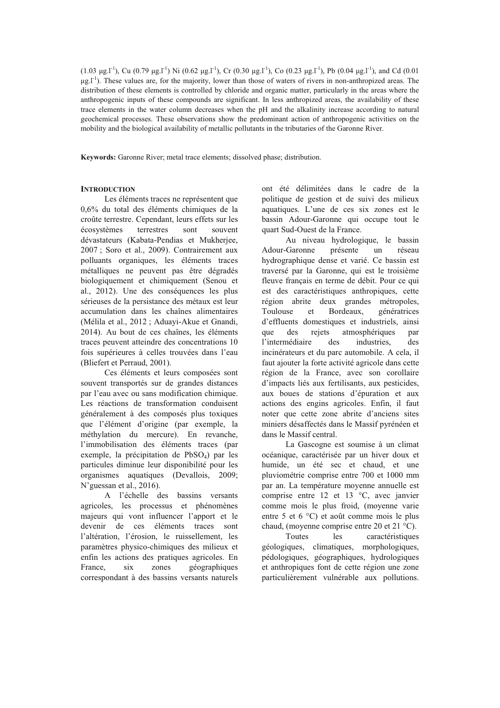$(1.03 \text{ µg}.\text{L}^1)$ , Cu  $(0.79 \text{ µg}.\text{L}^1)$  Ni  $(0.62 \text{ µg}.\text{L}^1)$ , Cr  $(0.30 \text{ µg}.\text{L}^1)$ , Co  $(0.23 \text{ µg}.\text{L}^1)$ , Pb  $(0.04 \text{ µg}.\text{L}^1)$ , and Cd  $(0.01 \text{ µg}.\text{L}^1)$  $\mu$ g.<sup>[-1</sup>]. These values are, for the majority, lower than those of waters of rivers in non-anthropized areas. The distribution of these elements is controlled by chloride and organic matter, particularly in the areas where the anthropogenic inputs of these compounds are significant. In less anthropized areas, the availability of these trace elements in the water column decreases when the pH and the alkalinity increase according to natural geochemical processes. These observations show the predominant action of anthropogenic activities on the mobility and the biological availability of metallic pollutants in the tributaries of the Garonne River.

Keywords: Garonne River; metal trace elements; dissolved phase; distribution.

### **INTRODUCTION**

Les éléments traces ne représentent que 0,6% du total des éléments chimiques de la croûte terrestre. Cependant, leurs effets sur les écosystèmes terrestres sont souvent dévastateurs (Kabata-Pendias et Mukherjee, 2007; Soro et al., 2009). Contrairement aux polluants organiques, les éléments traces métalliques ne peuvent pas être dégradés biologiquement et chimiquement (Senou et al., 2012). Une des conséquences les plus sérieuses de la persistance des métaux est leur accumulation dans les chaînes alimentaires (Mélila et al., 2012 ; Aduayi-Akue et Gnandi, 2014). Au bout de ces chaînes, les éléments traces peuvent atteindre des concentrations 10 fois supérieures à celles trouvées dans l'eau (Bliefert et Perraud, 2001).

Ces éléments et leurs composées sont souvent transportés sur de grandes distances par l'eau avec ou sans modification chimique. Les réactions de transformation conduisent généralement à des composés plus toxiques que l'élément d'origine (par exemple, la méthylation du mercure). En revanche, l'immobilisation des éléments traces (par exemple, la précipitation de PbSO<sub>4</sub>) par les particules diminue leur disponibilité pour les organismes aquatiques (Devallois, 2009;  $N'$ guessan et al., 2016).

A l'échelle des bassins versants agricoles, les processus et phénomènes majeurs qui vont influencer l'apport et le devenir de ces éléments traces sont l'altération, l'érosion, le ruissellement, les paramètres physico-chimiques des milieux et enfin les actions des pratiques agricoles. En France.  $\dot{\mathbf{x}}$ zones géographiques correspondant à des bassins versants naturels

ont été délimitées dans le cadre de la politique de gestion et de suivi des milieux aquatiques. L'une de ces six zones est le bassin Adour-Garonne qui occupe tout le quart Sud-Ouest de la France.

Au niveau hydrologique, le bassin Adour-Garonne présente réseau un hydrographique dense et varié. Ce bassin est traversé par la Garonne, qui est le troisième fleuve français en terme de débit. Pour ce qui est des caractéristiques anthropiques, cette région abrite deux grandes métropoles, Toulouse  $et$ Bordeaux. génératrices d'effluents domestiques et industriels, ainsi rejets atmosphériques que des par l'intermédiaire des industries. des incinérateurs et du parc automobile. A cela, il faut ajouter la forte activité agricole dans cette région de la France, avec son corollaire d'impacts liés aux fertilisants, aux pesticides, aux boues de stations d'épuration et aux actions des engins agricoles. Enfin, il faut noter que cette zone abrite d'anciens sites miniers désaffectés dans le Massif pyrénéen et dans le Massif central.

La Gascogne est soumise à un climat océanique, caractérisée par un hiver doux et humide, un été sec et chaud, et une pluviométrie comprise entre 700 et 1000 mm par an. La température moyenne annuelle est comprise entre 12 et 13  $\degree$ C, avec janvier comme mois le plus froid, (moyenne varie entre 5 et 6 °C) et août comme mois le plus chaud, (moveme comprise entre 20 et 21  $^{\circ}$ C).

Toutes les caractéristiques géologiques, climatiques, morphologiques, pédologiques, géographiques, hydrologiques et anthropiques font de cette région une zone particulièrement vulnérable aux pollutions.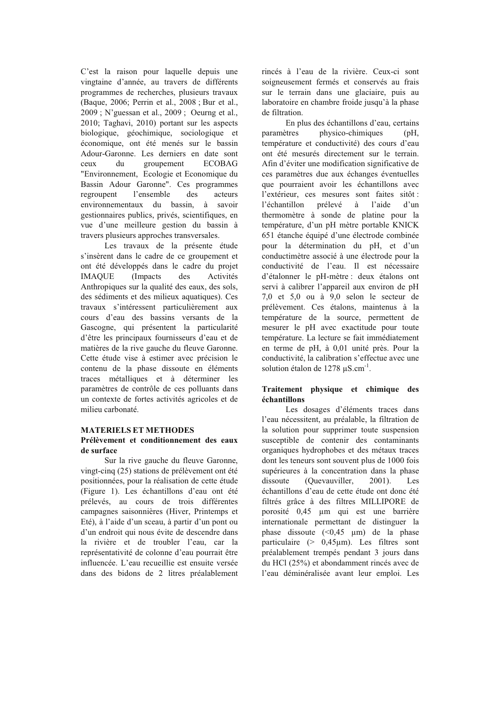C'est la raison pour laquelle depuis une vingtaine d'année, au travers de différents programmes de recherches, plusieurs travaux (Baque, 2006; Perrin et al., 2008; Bur et al., 2009; N'guessan et al., 2009; Oeurng et al., 2010; Taghavi, 2010) portant sur les aspects biologique, géochimique, sociologique et économique, ont été menés sur le bassin Adour-Garonne. Les derniers en date sont ceux  $\mathbf{d}$ groupement **ECOBAG** "Environnement, Ecologie et Economique du Bassin Adour Garonne". Ces programmes regroupent l'ensemble  $\frac{d}{dx}$ acteurs environnementaux du bassin, à savoir gestionnaires publics, privés, scientifiques, en vue d'une meilleure gestion du bassin à travers plusieurs approches transversales.

Les travaux de la présente étude s'insèrent dans le cadre de ce groupement et ont été développés dans le cadre du projet **IMAQUE** (Impacts) des Activités Anthropiques sur la qualité des eaux, des sols, des sédiments et des milieux aquatiques). Ces travaux s'intéressent particulièrement aux cours d'eau des bassins versants de la Gascogne, qui présentent la particularité d'être les principaux fournisseurs d'eau et de matières de la rive gauche du fleuve Garonne. Cette étude vise à estimer avec précision le contenu de la phase dissoute en éléments traces métalliques et à déterminer les paramètres de contrôle de ces polluants dans un contexte de fortes activités agricoles et de milieu carbonaté.

# **MATERIELS ET METHODES**

### Prélèvement et conditionnement des eaux de surface

Sur la rive gauche du fleuve Garonne, vingt-cinq (25) stations de prélèvement ont été positionnées, pour la réalisation de cette étude (Figure 1). Les échantillons d'eau ont été prélevés, au cours de trois différentes campagnes saisonnières (Hiver, Printemps et Eté), à l'aide d'un sceau, à partir d'un pont ou d'un endroit qui nous évite de descendre dans la rivière et de troubler l'eau, car la représentativité de colonne d'eau pourrait être influencée. L'eau recueillie est ensuite versée dans des bidons de 2 litres préalablement rincés à l'eau de la rivière. Ceux-ci sont soigneusement fermés et conservés au frais sur le terrain dans une glaciaire, puis au laboratoire en chambre froide jusqu'à la phase de filtration.

En plus des échantillons d'eau, certains physico-chimiques paramètres  $(pH,$ température et conductivité) des cours d'eau ont été mesurés directement sur le terrain. Afin d'éviter une modification significative de ces paramètres due aux échanges éventuelles que pourraient avoir les échantillons avec l'extérieur, ces mesures sont faites sitôt : l'échantillon prélevé l'aide  $d'un$  $\lambda$ thermomètre à sonde de platine pour la température, d'un pH mètre portable KNICK 651 étanche équipé d'une électrode combinée pour la détermination du pH, et d'un conductimètre associé à une électrode nour la conductivité de l'eau. Il est nécessaire d'étalonner le pH-mètre : deux étalons ont servi à calibrer l'appareil aux environ de pH 7,0 et 5,0 ou à 9,0 selon le secteur de prélèvement. Ces étalons, maintenus à la température de la source, permettent de mesurer le pH avec exactitude pour toute température. La lecture se fait immédiatement en terme de pH, à 0,01 unité près. Pour la conductivité, la calibration s'effectue avec une solution étalon de 1278  $\mu$ S.cm<sup>-1</sup>.

#### Traitement physique et chimique des échantillons

Les dosages d'éléments traces dans l'eau nécessitent, au préalable, la filtration de la solution pour supprimer toute suspension susceptible de contenir des contaminants organiques hydrophobes et des métaux traces dont les teneurs sont souvent plus de 1000 fois supérieures à la concentration dans la phase dissoute (Ouevauviller,  $2001$ ). Les échantillons d'eau de cette étude ont donc été filtrés grâce à des filtres MILLIPORE de porosité 0.45 um qui est une barrière internationale permettant de distinguer la phase dissoute  $(\leq 0.45 \mu m)$  de la phase particulaire (>  $0.45 \mu m$ ). Les filtres sont préalablement trempés pendant 3 jours dans du HCl (25%) et abondamment rincés avec de l'eau déminéralisée avant leur emploi. Les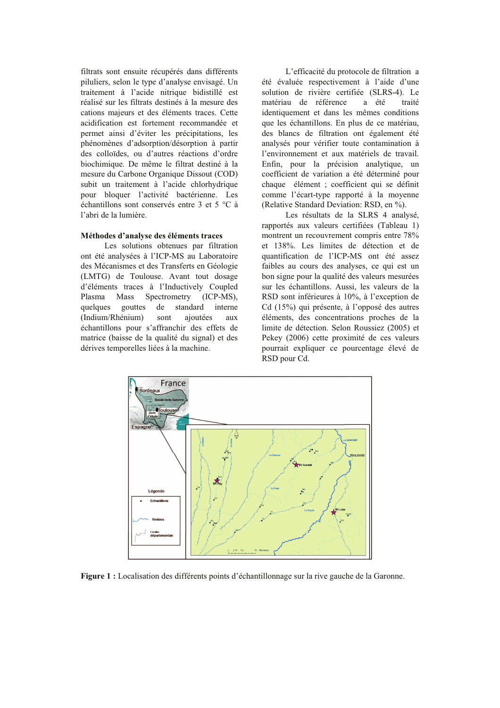filtrats sont ensuite récupérés dans différents piluliers, selon le type d'analyse envisagé. Un traitement à l'acide nitrique bidistillé est réalisé sur les filtrats destinés à la mesure des cations majeurs et des éléments traces. Cette acidification est fortement recommandée et permet ainsi d'éviter les précipitations, les phénomènes d'adsorption/désorption à partir des colloïdes, ou d'autres réactions d'ordre biochimique. De même le filtrat destiné à la mesure du Carbone Organique Dissout (COD) subit un traitement à l'acide chlorhydrique pour bloquer l'activité bactérienne. Les échantillons sont conservés entre 3 et 5 °C à l'abri de la lumière.

#### Méthodes d'analyse des éléments traces

Les solutions obtenues par filtration ont été analysées à l'ICP-MS au Laboratoire des Mécanismes et des Transferts en Géologie (LMTG) de Toulouse. Avant tout dosage d'éléments traces à l'Inductively Coupled Plasma Mass Spectrometry  $(ICP-MS)$ . quelques gouttes de standard interne (Indium/Rhénium) ajoutées sont  $311X$ échantillons pour s'affranchir des effets de matrice (baisse de la qualité du signal) et des dérives temporelles liées à la machine.

L'efficacité du protocole de filtration a été évaluée respectivement à l'aide d'une solution de rivière certifiée (SLRS-4). Le matériau de référence a été traité identiquement et dans les mêmes conditions que les échantillons. En plus de ce matériau, des blancs de filtration ont également été analysés pour vérifier toute contamination à l'environnement et aux matériels de travail. Enfin, pour la précision analytique, un coefficient de variation a été déterminé pour chaque élément ; coefficient qui se définit comme l'écart-type rapporté à la moyenne (Relative Standard Deviation: RSD, en %).

Les résultats de la SLRS 4 analysé, rapportés aux valeurs certifiées (Tableau 1) montrent un recouvrement compris entre 78% et 138%. Les limites de détection et de quantification de l'ICP-MS ont été assez faibles au cours des analyses, ce qui est un bon signe pour la qualité des valeurs mesurées sur les échantillons. Aussi, les valeurs de la RSD sont inférieures à 10%, à l'exception de Cd (15%) qui présente, à l'opposé des autres éléments, des concentrations proches de la limite de détection. Selon Roussiez (2005) et Pekey (2006) cette proximité de ces valeurs pourrait expliquer ce pourcentage élevé de RSD pour Cd.



Figure 1 : Localisation des différents points d'échantillonnage sur la rive gauche de la Garonne.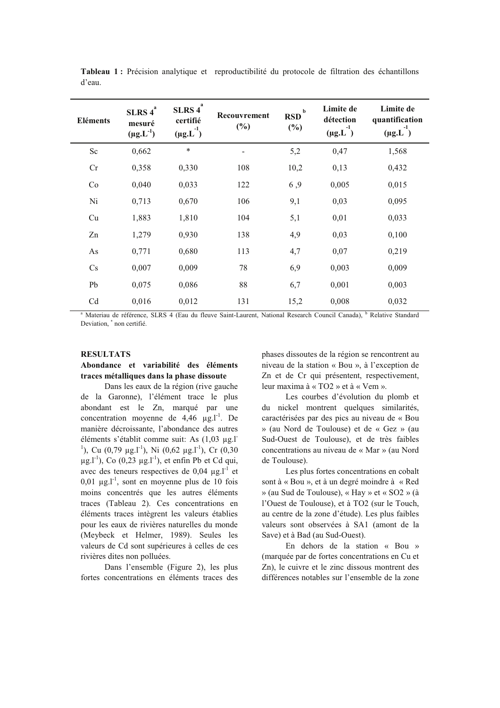| <b>Eléments</b>        | SLRS $4^a$<br>mesuré<br>$(\mu g.L^{-1})$ | SLRS $4^a$<br>certifié<br>$(\mu g.L^{-1})$ | Recouvrement<br>$(\%)$ | $\mathbf b$<br><b>RSD</b><br>(%) | Limite de<br>détection<br>-1<br>$(\mu g.L)$ | Limite de<br>quantification<br>$-1$<br>$(\mu g.L)$ |
|------------------------|------------------------------------------|--------------------------------------------|------------------------|----------------------------------|---------------------------------------------|----------------------------------------------------|
| Sc                     | 0,662                                    | $\ast$                                     |                        | 5,2                              | 0,47                                        | 1,568                                              |
| Cr                     | 0,358                                    | 0,330                                      | 108                    | 10,2                             | 0,13                                        | 0,432                                              |
| Co                     | 0,040                                    | 0,033                                      | 122                    | 6,9                              | 0,005                                       | 0,015                                              |
| Ni                     | 0,713                                    | 0,670                                      | 106                    | 9,1                              | 0,03                                        | 0,095                                              |
| Cu                     | 1,883                                    | 1,810                                      | 104                    | 5,1                              | 0,01                                        | 0,033                                              |
| Zn                     | 1,279                                    | 0,930                                      | 138                    | 4,9                              | 0,03                                        | 0,100                                              |
| As                     | 0,771                                    | 0,680                                      | 113                    | 4,7                              | 0,07                                        | 0,219                                              |
| $\mathbf{C}\mathbf{s}$ | 0,007                                    | 0,009                                      | 78                     | 6,9                              | 0,003                                       | 0,009                                              |
| Pb                     | 0,075                                    | 0,086                                      | 88                     | 6,7                              | 0,001                                       | 0,003                                              |
| Cd                     | 0,016                                    | 0,012                                      | 131                    | 15,2                             | 0,008                                       | 0,032                                              |

Tableau 1 : Précision analytique et reproductibilité du protocole de filtration des échantillons d'eau.

<sup>a</sup> Materiau de référence, SLRS 4 (Eau du fleuve Saint-Laurent, National Research Council Canada), <sup>b</sup> Relative Standard Deviation, \* non certifié.

#### **RESULTATS**

# Abondance et variabilité des éléments traces métalliques dans la phase dissoute

Dans les eaux de la région (rive gauche de la Garonne), l'élément trace le plus abondant est le Zn, marqué par une concentration moyenne de  $4,46 \mu g.l^{-1}$ . De manière décroissante. l'abondance des autres éléments s'établit comme suit: As (1.03 ug.l] <sup>1</sup>), Cu (0,79 µg.l<sup>-1</sup>), Ni (0,62 µg.l<sup>-1</sup>), Cr (0,30  $\mu$ g.l<sup>-1</sup>), Co (0,23  $\mu$ g.l<sup>-1</sup>), et enfin Pb et Cd qui, avec des teneurs respectives de 0,04  $\mu$ g.l<sup>-1</sup> et  $0.01 \mu g.I^{-1}$ , sont en moyenne plus de 10 fois moins concentrés que les autres éléments traces (Tableau 2). Ces concentrations en éléments traces intègrent les valeurs établies pour les eaux de rivières naturelles du monde (Meybeck et Helmer, 1989). Seules les valeurs de Cd sont supérieures à celles de ces rivières dites non polluées.

Dans l'ensemble (Figure 2), les plus fortes concentrations en éléments traces des phases dissoutes de la région se rencontrent au niveau de la station « Bou », à l'exception de Zn et de Cr qui présentent, respectivement, leur maxima à « TO2 » et à « Vem ».

Les courbes d'évolution du plomb et du nickel montrent quelques similarités, caractérisées par des pics au niveau de « Bou » (au Nord de Toulouse) et de « Gez » (au Sud-Ouest de Toulouse), et de très faibles concentrations au niveau de « Mar » (au Nord de Toulouse).

Les plus fortes concentrations en cobalt sont à « Bou », et à un degré moindre à « Red » (au Sud de Toulouse), « Hay » et « SO2 » (à l'Ouest de Toulouse), et à TO2 (sur le Touch, au centre de la zone d'étude). Les plus faibles valeurs sont observées à SA1 (amont de la Save) et à Bad (au Sud-Ouest).

En dehors de la station « Bou » (marquée par de fortes concentrations en Cu et Zn), le cuivre et le zinc dissous montrent des différences notables sur l'ensemble de la zone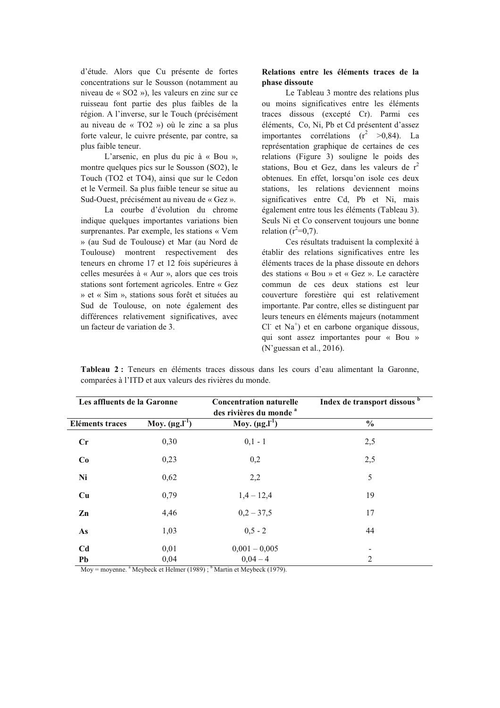d'étude. Alors que Cu présente de fortes concentrations sur le Sousson (notamment au niveau de « SO2 »), les valeurs en zinc sur ce ruisseau font partie des plus faibles de la région. A l'inverse, sur le Touch (précisément au niveau de « TO2 ») où le zinc a sa plus forte valeur, le cuivre présente, par contre, sa plus faible teneur.

L'arsenic, en plus du pic à « Bou », montre quelques pics sur le Sousson (SO2), le Touch (TO2 et TO4), ainsi que sur le Cedon et le Vermeil. Sa plus faible teneur se situe au Sud-Ouest, précisément au niveau de « Gez ».

La courbe d'évolution du chrome indique quelques importantes variations bien surprenantes. Par exemple, les stations « Vem » (au Sud de Toulouse) et Mar (au Nord de Toulouse) montrent respectivement des teneurs en chrome 17 et 12 fois supérieures à celles mesurées à « Aur », alors que ces trois stations sont fortement agricoles. Entre « Gez » et « Sim », stations sous forêt et situées au Sud de Toulouse, on note également des différences relativement significatives, avec un facteur de variation de 3.

# Relations entre les éléments traces de la phase dissoute

Le Tableau 3 montre des relations plus ou moins significatives entre les éléments traces dissous (excepté Cr). Parmi ces éléments, Co, Ni, Pb et Cd présentent d'assez importantes corrélations  $(r^2 > 0.84)$ . La représentation graphique de certaines de ces relations (Figure 3) souligne le poids des stations, Bou et Gez, dans les valeurs de  $r^2$ obtenues. En effet, lorsqu'on isole ces deux stations, les relations deviennent moins significatives entre Cd, Pb et Ni, mais également entre tous les éléments (Tableau 3). Seuls Ni et Co conservent toujours une bonne relation  $(r^2=0.7)$ .

Ces résultats traduisent la complexité à établir des relations significatives entre les éléments traces de la phase dissoute en dehors des stations « Bou » et « Gez ». Le caractère commun de ces deux stations est leur couverture forestière qui est relativement importante. Par contre, elles se distinguent par leurs teneurs en éléments majeurs (notamment  $CI<sup>+</sup>$  et en carbone organique dissous, qui sont assez importantes pour « Bou »  $(N'$ guessan et al., 2016).

| Les affluents de la Garonne |                                 | <b>Concentration naturelle</b><br>des rivières du monde <sup>a</sup> | Index de transport dissous b |  |  |
|-----------------------------|---------------------------------|----------------------------------------------------------------------|------------------------------|--|--|
| <b>Eléments traces</b>      | Moy. $(\mu g.I^{-1})$           | Moy. $(\mu g.I^{-1})$                                                | $\frac{0}{0}$                |  |  |
| Cr                          | 0,30                            | $0,1 - 1$                                                            | 2,5                          |  |  |
| Co                          | 0,23                            | 0,2                                                                  | 2,5                          |  |  |
| Ni                          | 0,62                            | 2,2                                                                  | 5                            |  |  |
| Cu                          | 0,79                            | $1,4-12,4$                                                           | 19                           |  |  |
| Zn                          | 4,46                            | $0,2 - 37,5$                                                         | 17                           |  |  |
| As                          | 1,03                            | $0,5 - 2$                                                            | 44                           |  |  |
| C <sub>d</sub>              | 0,01                            | $0,001 - 0,005$                                                      |                              |  |  |
| Pb<br>$\sim$ $\sim$         | 0,04<br>$9 - r - 1 - 1 - 1 - 1$ | $0,04 - 4$<br>$(1000)$ has $(1000)$                                  | 2                            |  |  |

Tableau 2: Teneurs en éléments traces dissous dans les cours d'eau alimentant la Garonne, comparées à l'ITD et aux valeurs des rivières du monde.

Moy = moyenne.  $^a$  Meybeck et Helmer (1989);  $^b$  Martin et Meybeck (1979).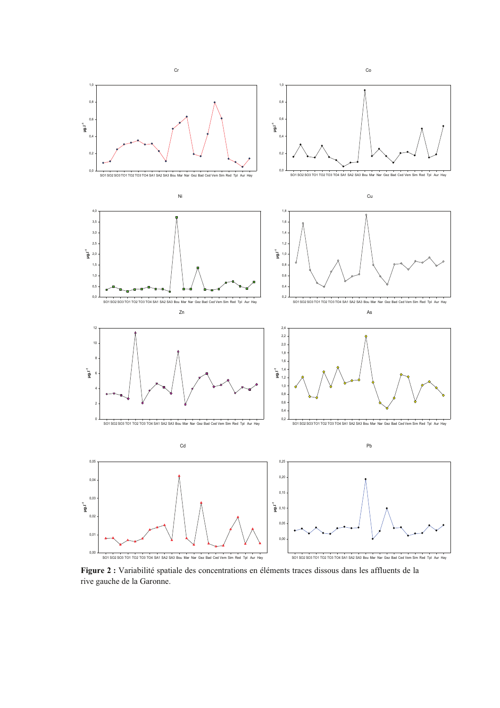

Figure 2 : Variabilité spatiale des concentrations en éléments traces dissous dans les affluents de la rive gauche de la Garonne.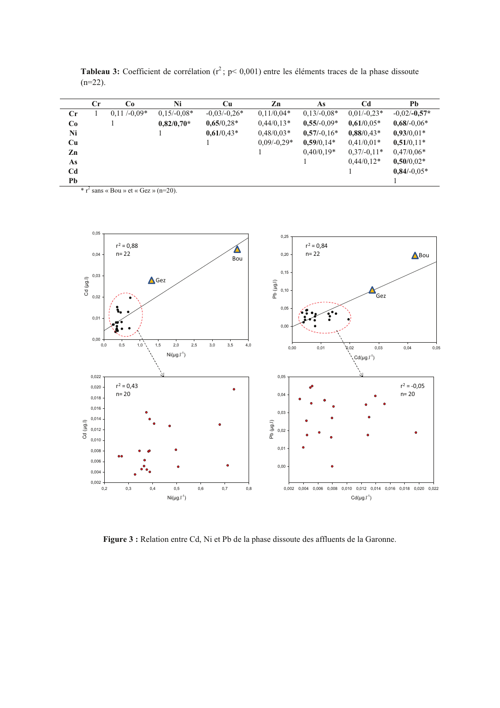|                | $_{\rm Cr}$ | Co            | Ni            | Cu             | Zn            | As            | Cd            | Pb             |
|----------------|-------------|---------------|---------------|----------------|---------------|---------------|---------------|----------------|
| $_{\rm Cr}$    |             | $0.11/-0.09*$ | $0,15/-0,08*$ | $-0,03/-0,26*$ | $0,11/0,04*$  | $0,13/-0,08*$ | $0.01/-0.23*$ | $-0.02/-0.57*$ |
| Co             |             |               | $0.82/0.70*$  | $0,65/0,28*$   | $0,44/0,13*$  | $0,55/-0,09*$ | $0,61/0,05*$  | $0.68/-0.06*$  |
| Ni             |             |               |               | $0,61/0,43*$   | $0,48/0,03*$  | $0,57/-0,16*$ | $0,88/0,43*$  | $0,93/0,01*$   |
| Cu             |             |               |               |                | $0,09/-0,29*$ | $0,59/0,14*$  | $0,41/0,01*$  | $0,51/0,11*$   |
| Zn             |             |               |               |                |               | $0.40/0.19*$  | $0,37/-0,11*$ | $0,47/0,06*$   |
| As             |             |               |               |                |               |               | $0.44/0.12*$  | $0,50/0,02*$   |
| C <sub>d</sub> |             |               |               |                |               |               |               | $0.84/-0.05*$  |
| Pb             |             |               |               |                |               |               |               |                |

**Tableau 3:** Coefficient de corrélation  $(r^2; p < 0.001)$  entre les éléments traces de la phase dissoute  $(n=22)$ .

 $*$  r<sup>2</sup> sans « Bou » et « Gez » (n=20).



Figure 3 : Relation entre Cd, Ni et Pb de la phase dissoute des affluents de la Garonne.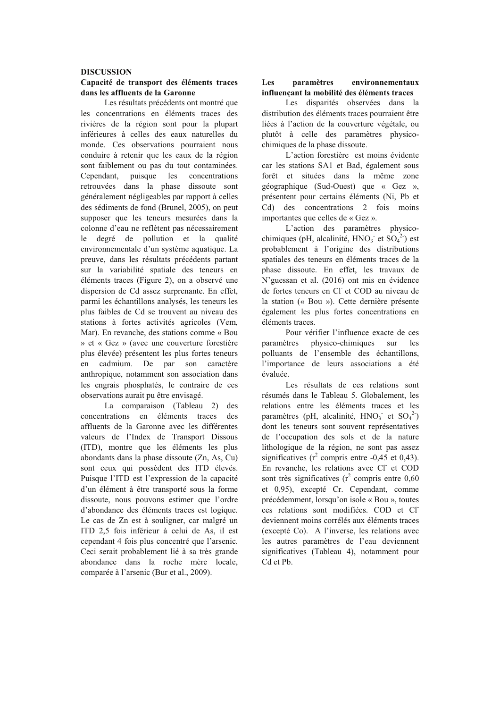#### **DISCUSSION**

#### Capacité de transport des éléments traces dans les affluents de la Garonne

Les résultats précédents ont montré que les concentrations en éléments traces des rivières de la région sont pour la plupart inférieures à celles des eaux naturelles du monde. Ces observations pourraient nous conduire à retenir que les eaux de la région sont faiblement ou pas du tout contaminées. Cependant, puisque les concentrations retrouvées dans la phase dissoute sont généralement négligeables par rapport à celles des sédiments de fond (Brunel, 2005), on peut supposer que les teneurs mesurées dans la colonne d'eau ne reflètent pas nécessairement degré de pollution et la qualité  $1e$ environnementale d'un système aquatique. La preuve, dans les résultats précédents partant sur la variabilité spatiale des teneurs en éléments traces (Figure 2), on a observé une dispersion de Cd assez surprenante. En effet. parmi les échantillons analysés, les teneurs les plus faibles de Cd se trouvent au niveau des stations à fortes activités agricoles (Vem, Mar). En revanche, des stations comme « Bou » et « Gez » (avec une couverture forestière plus élevée) présentent les plus fortes teneurs cadmium. De par son caractère en anthropique, notamment son association dans les engrais phosphatés, le contraire de ces observations aurait pu être envisagé.

La comparaison (Tableau 2) des concentrations en éléments traces  $des$ affluents de la Garonne avec les différentes valeurs de l'Index de Transport Dissous (ITD), montre que les éléments les plus abondants dans la phase dissoute (Zn. As. Cu) sont ceux qui possèdent des ITD élevés. Puisque l'ITD est l'expression de la capacité d'un élément à être transporté sous la forme dissoute, nous pouvons estimer que l'ordre d'abondance des éléments traces est logique. Le cas de Zn est à souligner, car malgré un ITD 2,5 fois inférieur à celui de As, il est cependant 4 fois plus concentré que l'arsenic. Ceci serait probablement lié à sa très grande abondance dans la roche mère locale, comparée à l'arsenic (Bur et al., 2009).

#### Les paramètres environnementaux influençant la mobilité des éléments traces

Les disparités observées dans la distribution des éléments traces pourraient être liées à l'action de la couverture végétale, ou plutôt à celle des paramètres physicochimiques de la phase dissoute.

L'action forestière est moins évidente car les stations SA1 et Bad, également sous forêt et situées dans la même zone géographique (Sud-Ouest) que « Gez », présentent pour certains éléments (Ni, Pb et Cd) des concentrations 2 fois moins importantes que celles de « Gez ».

L'action des paramètres physicochimiques (pH, alcalinité,  $HNO_3$ <sup>-</sup> et  $SO_4^2$ ) est probablement à l'origine des distributions spatiales des teneurs en éléments traces de la phase dissoute. En effet, les travaux de N'guessan et al. (2016) ont mis en évidence de fortes teneurs en Cl et COD au niveau de la station (« Bou »). Cette dernière présente également les plus fortes concentrations en éléments traces.

Pour vérifier l'influence exacte de ces paramètres physico-chimiques  $\sin$  $les$ polluants de l'ensemble des échantillons, l'importance de leurs associations a été évaluée.

Les résultats de ces relations sont résumés dans le Tableau 5. Globalement, les relations entre les éléments traces et les paramètres (pH, alcalinité,  $HNO_3$ <sup>-</sup> et  $SO_4^2$ ) dont les teneurs sont souvent représentatives de l'occupation des sols et de la nature lithologique de la région, ne sont pas assez significatives ( $r^2$  compris entre -0.45 et 0.43). En revanche, les relations avec Cl et COD sont très significatives ( $r^2$  compris entre 0,60 et 0,95), excepté Cr. Cependant, comme précédemment, lorsqu'on isole « Bou », toutes ces relations sont modifiées. COD et Cl deviennent moins corrélés aux éléments traces (excepté Co). A l'inverse, les relations avec les autres paramètres de l'eau deviennent significatives (Tableau 4), notamment pour Cd et Pb.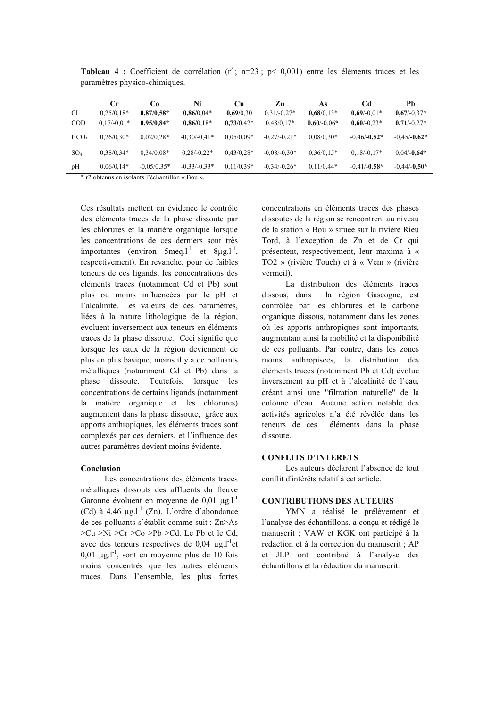|                  | Сr            | Cо            | Ni             | Cu           | Zn             | As            | Cd             | Pb             |
|------------------|---------------|---------------|----------------|--------------|----------------|---------------|----------------|----------------|
| C1               | $0.25/0.18*$  | $0.87/0.58*$  | $0.86/0.04*$   | 0,69/0,30    | $0.31/-0.27*$  | $0,68/0,13*$  | $0.69/-0.01*$  | $0.67/-0.37*$  |
| <b>COD</b>       | $0.17/-0.01*$ | $0,95/0,84*$  | $0,86/0,18*$   | $0,73/0,42*$ | $0.48/0.17*$   | $0.60/-0.06*$ | $0,60/-0,23*$  | $0,71/-0,27*$  |
| HCO <sub>3</sub> | $0.26/0.30*$  | $0.02/0.28*$  | $-0.30/-0.41*$ | $0.05/0.09*$ | $-0.27/-0.21*$ | $0.08/0.30*$  | $-0.46/-0.52*$ | $-0.45/-0.62*$ |
| SO <sub>4</sub>  | $0.38/0.34*$  | $0.34/0.08*$  | $0.28/-0.22*$  | $0.43/0.28*$ | $-0.08/-0.30*$ | $0,36/0,15*$  | $0.18/-0.17*$  | $0.04/-0.64*$  |
| pH               | $0.06/0.14*$  | $-0.05/0.35*$ | $-0.33/-0.33*$ | $0.11/0.39*$ | $-0.34/-0.26*$ | $0,11/0,44*$  | $-0.41/-0.58*$ | $-0,44/-0,50*$ |

**Tableau 4 :** Coefficient de corrélation ( $r^2$ ; n=23; p< 0,001) entre les éléments traces et les paramètres physico-chimiques.

\* r2 obtenus en isolants l'échantillon « Bou ».

Ces résultats mettent en évidence le contrôle des éléments traces de la phase dissoute par les chlorures et la matière organique lorsque les concentrations de ces derniers sont très importantes (environ 5meq.1<sup>-1</sup> et 8 $\mu$ g.1<sup>-1</sup>, respectivement). En revanche, pour de faibles teneurs de ces ligands, les concentrations des éléments traces (notamment Cd et Pb) sont plus ou moins influencées par le pH et l'alcalinité. Les valeurs de ces paramètres, liées à la nature lithologique de la région. évoluent inversement aux teneurs en éléments traces de la phase dissoute. Ceci signifie que lorsque les eaux de la région deviennent de plus en plus basique, moins il y a de polluants métalliques (notamment Cd et Pb) dans la phase dissoute. Toutefois, lorsque les concentrations de certains ligands (notamment la matière organique et les chlorures) augmentent dans la phase dissoute, grâce aux apports anthropiques, les éléments traces sont complexés par ces derniers, et l'influence des autres paramètres devient moins évidente.

#### Conclusion

Les concentrations des éléments traces métalliques dissouts des affluents du fleuve Garonne évoluent en moyenne de 0,01  $\mu$ g.l<sup>-1</sup> (Cd) à 4,46  $\mu$ g.l<sup>-1</sup> (Zn). L'ordre d'abondance de ces polluants s'établit comme suit : Zn>As  $>Cu > Ni > Cr > Co > Pb > Cd$ . Le Pb et le Cd, avec des teneurs respectives de  $0.04 \mu g.I^{-1}$ et  $0.01 \mu g.l^{-1}$ , sont en moyenne plus de 10 fois moins concentrés que les autres éléments traces. Dans l'ensemble, les plus fortes

concentrations en éléments traces des phases dissoutes de la région se rencontrent au niveau de la station « Bou » située sur la rivière Rieu Tord, à l'exception de Zn et de Cr qui présentent, respectivement, leur maxima à « TO2 » (rivière Touch) et à « Vem » (rivière vermeil).

La distribution des éléments traces dissous, dans la région Gascogne, est contrôlée par les chlorures et le carbone organique dissous, notamment dans les zones où les apports anthropiques sont importants, augmentant ainsi la mobilité et la disponibilité de ces polluants. Par contre, dans les zones moins anthropisées, la distribution des éléments traces (notamment Pb et Cd) évolue inversement au pH et à l'alcalinité de l'eau, créant ainsi une "filtration naturelle" de la colonne d'eau. Aucune action notable des activités agricoles n'a été révélée dans les teneurs de ces éléments dans la phase dissoute.

#### **CONFLITS D'INTERETS**

Les auteurs déclarent l'absence de tout conflit d'intérêts relatif à cet article.

### **CONTRIBUTIONS DES AUTEURS**

YMN a réalisé le prélèvement et l'analyse des échantillons, a conçu et rédigé le manuscrit ; VAW et KGK ont participé à la rédaction et à la correction du manuscrit ; AP et JLP ont contribué à l'analyse des échantillons et la rédaction du manuscrit.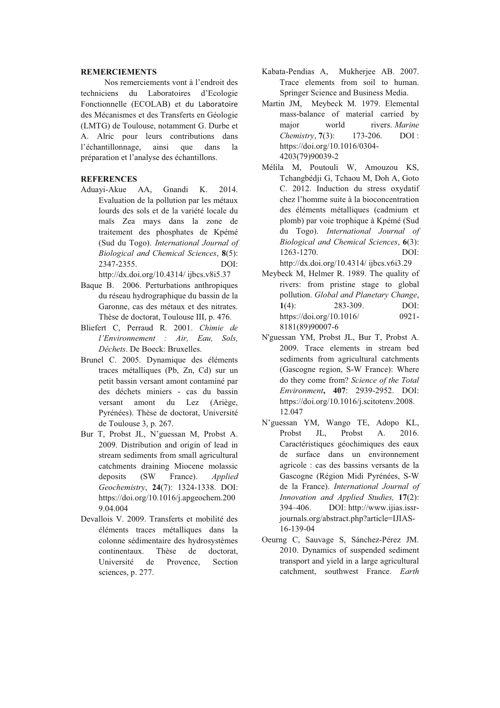# **REMERCIEMENTS**

Nos remerciements vont à l'endroit des techniciens du Laboratoires d'Ecologie Fonctionnelle (ECOLAB) et du Laboratoire des Mécanismes et des Transferts en Géologie (LMTG) de Toulouse, notamment G. Durbe et A. Alric pour leurs contributions dans l'échantillonnage, ainsi que dans  $1a$ préparation et l'analyse des échantillons.

### **REFERENCES**

Aduayi-Akue AA, Gnandi  $K_{\cdot}$ 2014. Evaluation de la pollution par les métaux lourds des sols et de la variété locale du maïs Zea mays dans la zone de traitement des phosphates de Kpémé (Sud du Togo). International Journal of Biological and Chemical Sciences, 8(5): 2347-2355.  $DOI:$ 

http://dx.doi.org/10.4314/ ijbcs.v8i5.37

- Baque B. 2006. Perturbations anthropiques du réseau hydrographique du bassin de la Garonne, cas des métaux et des nitrates. Thèse de doctorat, Toulouse III, p. 476.
- Bliefert C. Perraud R. 2001. Chimie de l'Environnement : Air, Eau, Sols, Déchets. De Boeck: Bruxelles.
- Brunel C. 2005. Dynamique des éléments traces métalliques (Pb, Zn, Cd) sur un petit bassin versant amont contaminé par des déchets miniers - cas du bassin versant amont du Lez (Ariège, Pyrénées). Thèse de doctorat. Université de Toulouse 3, p. 267.
- Bur T, Probst JL, N'guessan M, Probst A. 2009. Distribution and origin of lead in stream sediments from small agricultural catchments draining Miocene molassic deposits  $(SW)$ France). **Applied** Geochemistry, 24(7): 1324-1338. DOI: https://doi.org/10.1016/j.apgeochem.200 9.04.004
- Devallois V. 2009. Transferts et mobilité des éléments traces métalliques dans la colonne sédimentaire des hydrosystèmes continentaux. Thèse de doctorat. Université de Provence. Section sciences, p. 277.
- Kabata-Pendias A, Mukherjee AB. 2007. Trace elements from soil to human. Springer Science and Business Media.
- Martin JM, Meybeck M. 1979. Elemental mass-balance of material carried by maior world rivers. Marine 173-206 Chemistry, 7(3):  $DOI \cdot$ https://doi.org/10.1016/0304-4203(79)90039-2
- Mélila M, Poutouli W, Amouzou KS, Tchangbédji G, Tchaou M, Doh A, Goto C. 2012. Induction du stress oxydatif chez l'homme suite à la bioconcentration des éléments métalliques (cadmium et plomb) par voie trophique à Kpémé (Sud du Togo). International Journal of Biological and Chemical Sciences, 6(3): 1263-1270. DOI: http://dx.doi.org/10.4314/ ijbcs.v6i3.29
- Meybeck M, Helmer R, 1989. The quality of rivers: from pristine stage to global pollution. Global and Planetary Change. 283-309. DOI:  $1(4)$ : https://doi.org/10.1016/  $0921 -$ 8181(89)90007-6
- N'guessan YM, Probst JL, Bur T, Probst A. 2009. Trace elements in stream bed sediments from agricultural catchments (Gascogne region, S-W France): Where do they come from? Science of the Total Environment, 407: 2939-2952. DOI: https://doi.org/10.1016/j.scitotenv.2008. 12.047
- N'guessan YM, Wango TE, Adopo KL, Probst JL, Probst A. 2016. Caractéristiques géochimiques des eaux de surface dans un environnement agricole : cas des bassins versants de la Gascogne (Région Midi Pyrénées, S-W de la France). International Journal of Innovation and Applied Studies, 17(2): 394-406. DOI: http://www.ijias.issrjournals.org/abstract.php?article=IJIAS-16-139-04
- Oeurng C. Sauvage S. Sánchez-Pérez JM. 2010. Dynamics of suspended sediment transport and yield in a large agricultural catchment, southwest France. Earth